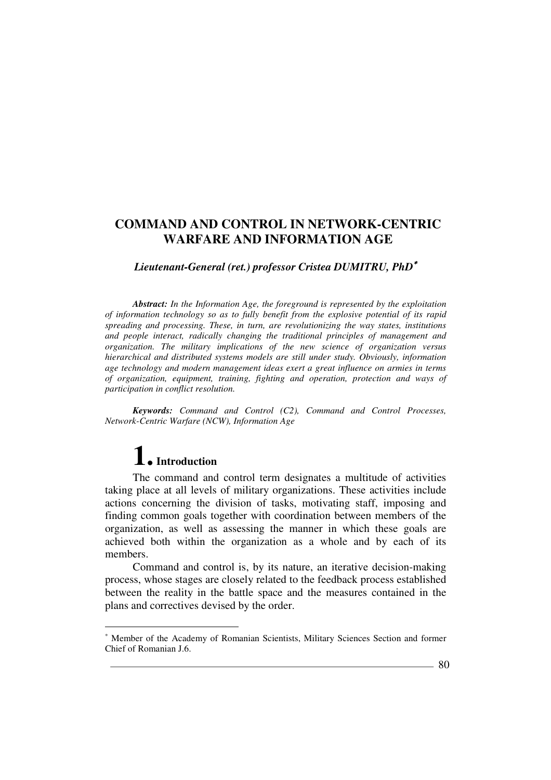# *Lieutenant-General (ret.) professor Cristea DUMITRU, PhD*<sup>∗</sup>

*Abstract: In the Information Age, the foreground is represented by the exploitation of information technology so as to fully benefit from the explosive potential of its rapid spreading and processing. These, in turn, are revolutionizing the way states, institutions and people interact, radically changing the traditional principles of management and organization. The military implications of the new science of organization versus hierarchical and distributed systems models are still under study. Obviously, information age technology and modern management ideas exert a great influence on armies in terms of organization, equipment, training, fighting and operation, protection and ways of participation in conflict resolution.* 

*Keywords: Command and Control (C2), Command and Control Processes, Network-Centric Warfare (NCW), Information Age* 

# **1. Introduction**

 $\overline{a}$ 

The command and control term designates a multitude of activities taking place at all levels of military organizations. These activities include actions concerning the division of tasks, motivating staff, imposing and finding common goals together with coordination between members of the organization, as well as assessing the manner in which these goals are achieved both within the organization as a whole and by each of its members.

Command and control is, by its nature, an iterative decision-making process, whose stages are closely related to the feedback process established between the reality in the battle space and the measures contained in the plans and correctives devised by the order.

<sup>∗</sup> Member of the Academy of Romanian Scientists, Military Sciences Section and former Chief of Romanian J.6.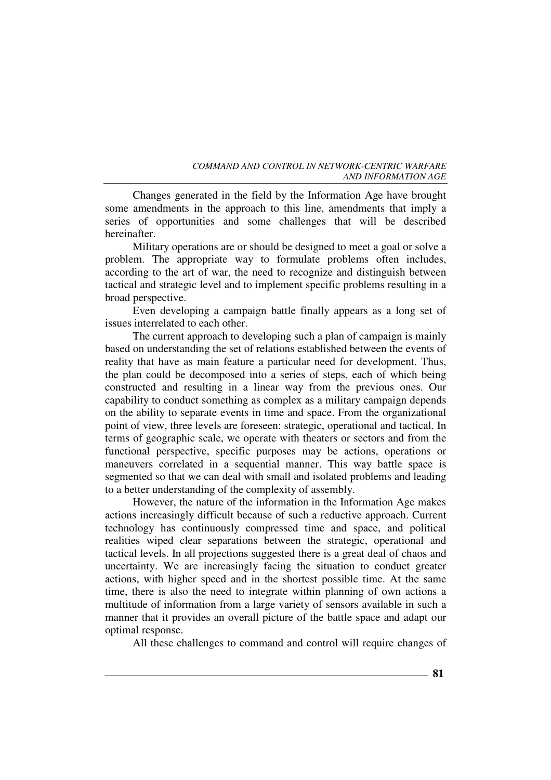Changes generated in the field by the Information Age have brought some amendments in the approach to this line, amendments that imply a series of opportunities and some challenges that will be described hereinafter.

Military operations are or should be designed to meet a goal or solve a problem. The appropriate way to formulate problems often includes, according to the art of war, the need to recognize and distinguish between tactical and strategic level and to implement specific problems resulting in a broad perspective.

Even developing a campaign battle finally appears as a long set of issues interrelated to each other.

The current approach to developing such a plan of campaign is mainly based on understanding the set of relations established between the events of reality that have as main feature a particular need for development. Thus, the plan could be decomposed into a series of steps, each of which being constructed and resulting in a linear way from the previous ones. Our capability to conduct something as complex as a military campaign depends on the ability to separate events in time and space. From the organizational point of view, three levels are foreseen: strategic, operational and tactical. In terms of geographic scale, we operate with theaters or sectors and from the functional perspective, specific purposes may be actions, operations or maneuvers correlated in a sequential manner. This way battle space is segmented so that we can deal with small and isolated problems and leading to a better understanding of the complexity of assembly.

However, the nature of the information in the Information Age makes actions increasingly difficult because of such a reductive approach. Current technology has continuously compressed time and space, and political realities wiped clear separations between the strategic, operational and tactical levels. In all projections suggested there is a great deal of chaos and uncertainty. We are increasingly facing the situation to conduct greater actions, with higher speed and in the shortest possible time. At the same time, there is also the need to integrate within planning of own actions a multitude of information from a large variety of sensors available in such a manner that it provides an overall picture of the battle space and adapt our optimal response.

All these challenges to command and control will require changes of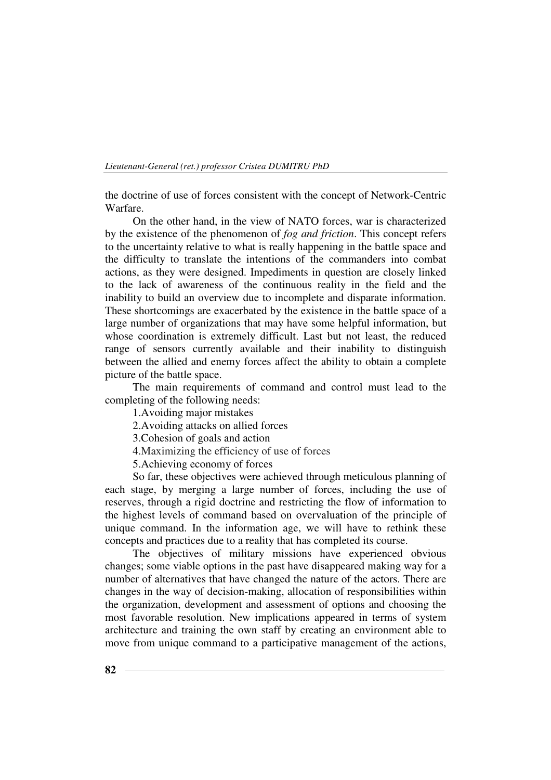the doctrine of use of forces consistent with the concept of Network-Centric Warfare.

On the other hand, in the view of NATO forces, war is characterized by the existence of the phenomenon of *fog and friction*. This concept refers to the uncertainty relative to what is really happening in the battle space and the difficulty to translate the intentions of the commanders into combat actions, as they were designed. Impediments in question are closely linked to the lack of awareness of the continuous reality in the field and the inability to build an overview due to incomplete and disparate information. These shortcomings are exacerbated by the existence in the battle space of a large number of organizations that may have some helpful information, but whose coordination is extremely difficult. Last but not least, the reduced range of sensors currently available and their inability to distinguish between the allied and enemy forces affect the ability to obtain a complete picture of the battle space.

The main requirements of command and control must lead to the completing of the following needs:

1.Avoiding major mistakes

2.Avoiding attacks on allied forces

3.Cohesion of goals and action

4.Maximizing the efficiency of use of forces

5.Achieving economy of forces

So far, these objectives were achieved through meticulous planning of each stage, by merging a large number of forces, including the use of reserves, through a rigid doctrine and restricting the flow of information to the highest levels of command based on overvaluation of the principle of unique command. In the information age, we will have to rethink these concepts and practices due to a reality that has completed its course.

The objectives of military missions have experienced obvious changes; some viable options in the past have disappeared making way for a number of alternatives that have changed the nature of the actors. There are changes in the way of decision-making, allocation of responsibilities within the organization, development and assessment of options and choosing the most favorable resolution. New implications appeared in terms of system architecture and training the own staff by creating an environment able to move from unique command to a participative management of the actions,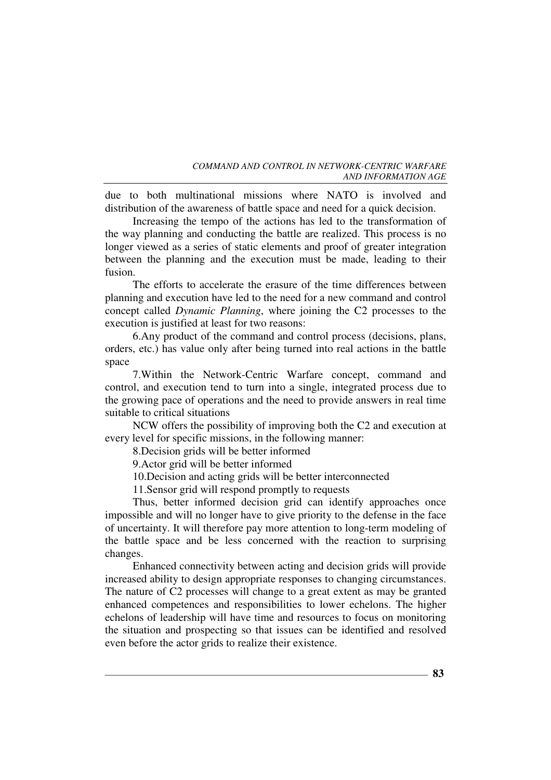due to both multinational missions where NATO is involved and distribution of the awareness of battle space and need for a quick decision.

Increasing the tempo of the actions has led to the transformation of the way planning and conducting the battle are realized. This process is no longer viewed as a series of static elements and proof of greater integration between the planning and the execution must be made, leading to their fusion.

The efforts to accelerate the erasure of the time differences between planning and execution have led to the need for a new command and control concept called *Dynamic Planning*, where joining the C2 processes to the execution is justified at least for two reasons:

6.Any product of the command and control process (decisions, plans, orders, etc.) has value only after being turned into real actions in the battle space

7.Within the Network-Centric Warfare concept, command and control, and execution tend to turn into a single, integrated process due to the growing pace of operations and the need to provide answers in real time suitable to critical situations

NCW offers the possibility of improving both the C2 and execution at every level for specific missions, in the following manner:

8.Decision grids will be better informed

9.Actor grid will be better informed

10.Decision and acting grids will be better interconnected

11.Sensor grid will respond promptly to requests

Thus, better informed decision grid can identify approaches once impossible and will no longer have to give priority to the defense in the face of uncertainty. It will therefore pay more attention to long-term modeling of the battle space and be less concerned with the reaction to surprising changes.

Enhanced connectivity between acting and decision grids will provide increased ability to design appropriate responses to changing circumstances. The nature of C2 processes will change to a great extent as may be granted enhanced competences and responsibilities to lower echelons. The higher echelons of leadership will have time and resources to focus on monitoring the situation and prospecting so that issues can be identified and resolved even before the actor grids to realize their existence.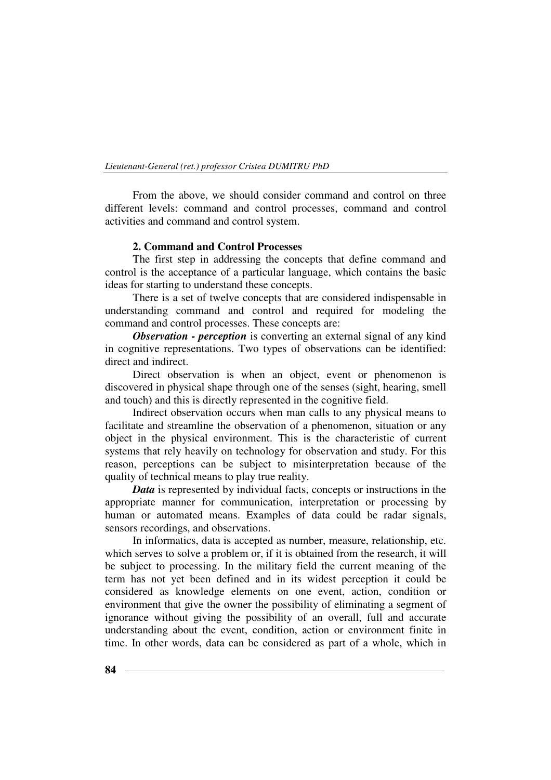From the above, we should consider command and control on three different levels: command and control processes, command and control activities and command and control system.

## **2. Command and Control Processes**

The first step in addressing the concepts that define command and control is the acceptance of a particular language, which contains the basic ideas for starting to understand these concepts.

There is a set of twelve concepts that are considered indispensable in understanding command and control and required for modeling the command and control processes. These concepts are:

*Observation - perception* is converting an external signal of any kind in cognitive representations. Two types of observations can be identified: direct and indirect.

Direct observation is when an object, event or phenomenon is discovered in physical shape through one of the senses (sight, hearing, smell and touch) and this is directly represented in the cognitive field.

Indirect observation occurs when man calls to any physical means to facilitate and streamline the observation of a phenomenon, situation or any object in the physical environment. This is the characteristic of current systems that rely heavily on technology for observation and study. For this reason, perceptions can be subject to misinterpretation because of the quality of technical means to play true reality.

*Data* is represented by individual facts, concepts or instructions in the appropriate manner for communication, interpretation or processing by human or automated means. Examples of data could be radar signals, sensors recordings, and observations.

In informatics, data is accepted as number, measure, relationship, etc. which serves to solve a problem or, if it is obtained from the research, it will be subject to processing. In the military field the current meaning of the term has not yet been defined and in its widest perception it could be considered as knowledge elements on one event, action, condition or environment that give the owner the possibility of eliminating a segment of ignorance without giving the possibility of an overall, full and accurate understanding about the event, condition, action or environment finite in time. In other words, data can be considered as part of a whole, which in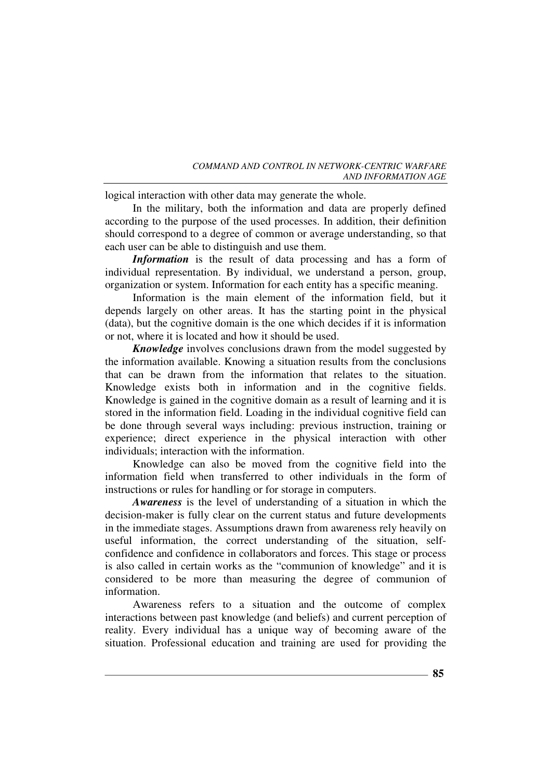logical interaction with other data may generate the whole.

In the military, both the information and data are properly defined according to the purpose of the used processes. In addition, their definition should correspond to a degree of common or average understanding, so that each user can be able to distinguish and use them.

*Information* is the result of data processing and has a form of individual representation. By individual, we understand a person, group, organization or system. Information for each entity has a specific meaning.

Information is the main element of the information field, but it depends largely on other areas. It has the starting point in the physical (data), but the cognitive domain is the one which decides if it is information or not, where it is located and how it should be used.

*Knowledge* involves conclusions drawn from the model suggested by the information available. Knowing a situation results from the conclusions that can be drawn from the information that relates to the situation. Knowledge exists both in information and in the cognitive fields. Knowledge is gained in the cognitive domain as a result of learning and it is stored in the information field. Loading in the individual cognitive field can be done through several ways including: previous instruction, training or experience; direct experience in the physical interaction with other individuals; interaction with the information.

Knowledge can also be moved from the cognitive field into the information field when transferred to other individuals in the form of instructions or rules for handling or for storage in computers.

*Awareness* is the level of understanding of a situation in which the decision-maker is fully clear on the current status and future developments in the immediate stages. Assumptions drawn from awareness rely heavily on useful information, the correct understanding of the situation, selfconfidence and confidence in collaborators and forces. This stage or process is also called in certain works as the "communion of knowledge" and it is considered to be more than measuring the degree of communion of information.

Awareness refers to a situation and the outcome of complex interactions between past knowledge (and beliefs) and current perception of reality. Every individual has a unique way of becoming aware of the situation. Professional education and training are used for providing the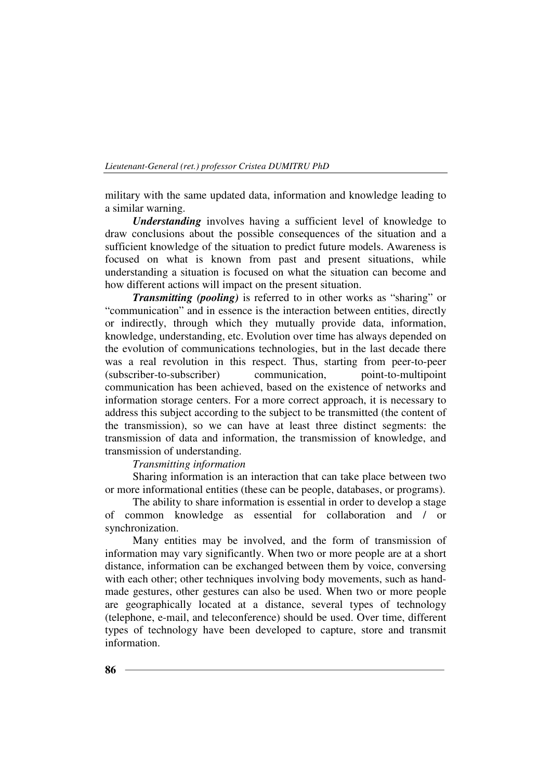military with the same updated data, information and knowledge leading to a similar warning.

*Understanding* involves having a sufficient level of knowledge to draw conclusions about the possible consequences of the situation and a sufficient knowledge of the situation to predict future models. Awareness is focused on what is known from past and present situations, while understanding a situation is focused on what the situation can become and how different actions will impact on the present situation.

*Transmitting (pooling)* is referred to in other works as "sharing" or "communication" and in essence is the interaction between entities, directly or indirectly, through which they mutually provide data, information, knowledge, understanding, etc. Evolution over time has always depended on the evolution of communications technologies, but in the last decade there was a real revolution in this respect. Thus, starting from peer-to-peer (subscriber-to-subscriber) communication, point-to-multipoint communication has been achieved, based on the existence of networks and information storage centers. For a more correct approach, it is necessary to address this subject according to the subject to be transmitted (the content of the transmission), so we can have at least three distinct segments: the transmission of data and information, the transmission of knowledge, and transmission of understanding.

# *Transmitting information*

Sharing information is an interaction that can take place between two or more informational entities (these can be people, databases, or programs).

The ability to share information is essential in order to develop a stage of common knowledge as essential for collaboration and / or synchronization.

Many entities may be involved, and the form of transmission of information may vary significantly. When two or more people are at a short distance, information can be exchanged between them by voice, conversing with each other; other techniques involving body movements, such as handmade gestures, other gestures can also be used. When two or more people are geographically located at a distance, several types of technology (telephone, e-mail, and teleconference) should be used. Over time, different types of technology have been developed to capture, store and transmit information.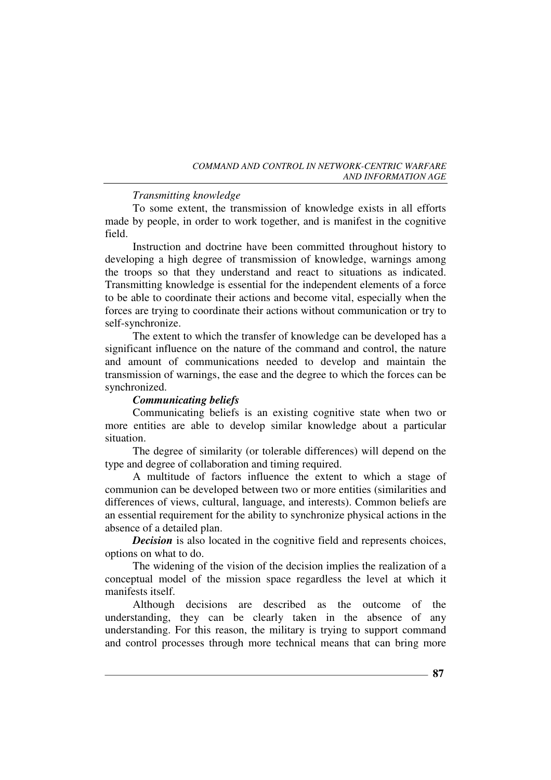*COMMAND AND CONTROL IN NETWORK-CENTRIC WARFARE AND INFORMATION AGE* 

# *Transmitting knowledge*

To some extent, the transmission of knowledge exists in all efforts made by people, in order to work together, and is manifest in the cognitive field.

Instruction and doctrine have been committed throughout history to developing a high degree of transmission of knowledge, warnings among the troops so that they understand and react to situations as indicated. Transmitting knowledge is essential for the independent elements of a force to be able to coordinate their actions and become vital, especially when the forces are trying to coordinate their actions without communication or try to self-synchronize.

The extent to which the transfer of knowledge can be developed has a significant influence on the nature of the command and control, the nature and amount of communications needed to develop and maintain the transmission of warnings, the ease and the degree to which the forces can be synchronized.

# *Communicating beliefs*

Communicating beliefs is an existing cognitive state when two or more entities are able to develop similar knowledge about a particular situation.

The degree of similarity (or tolerable differences) will depend on the type and degree of collaboration and timing required.

A multitude of factors influence the extent to which a stage of communion can be developed between two or more entities (similarities and differences of views, cultural, language, and interests). Common beliefs are an essential requirement for the ability to synchronize physical actions in the absence of a detailed plan.

*Decision* is also located in the cognitive field and represents choices, options on what to do.

The widening of the vision of the decision implies the realization of a conceptual model of the mission space regardless the level at which it manifests itself.

Although decisions are described as the outcome of the understanding, they can be clearly taken in the absence of any understanding. For this reason, the military is trying to support command and control processes through more technical means that can bring more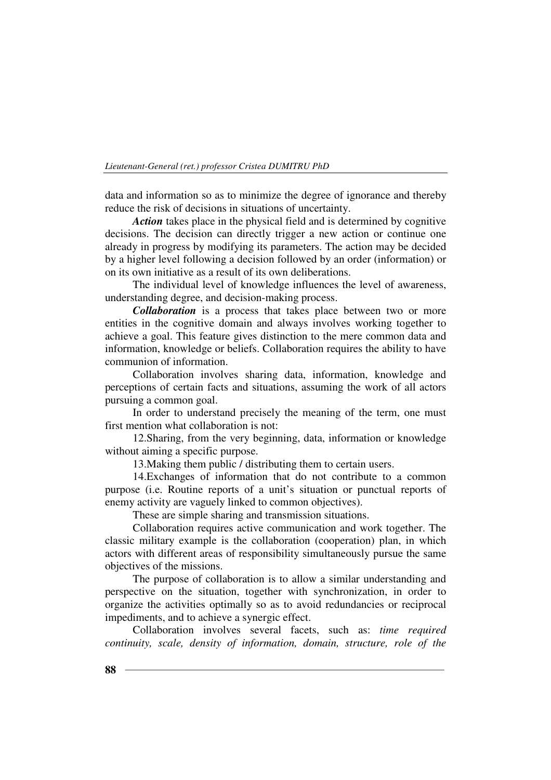data and information so as to minimize the degree of ignorance and thereby reduce the risk of decisions in situations of uncertainty.

*Action* takes place in the physical field and is determined by cognitive decisions. The decision can directly trigger a new action or continue one already in progress by modifying its parameters. The action may be decided by a higher level following a decision followed by an order (information) or on its own initiative as a result of its own deliberations.

The individual level of knowledge influences the level of awareness, understanding degree, and decision-making process.

*Collaboration* is a process that takes place between two or more entities in the cognitive domain and always involves working together to achieve a goal. This feature gives distinction to the mere common data and information, knowledge or beliefs. Collaboration requires the ability to have communion of information.

Collaboration involves sharing data, information, knowledge and perceptions of certain facts and situations, assuming the work of all actors pursuing a common goal.

In order to understand precisely the meaning of the term, one must first mention what collaboration is not:

12.Sharing, from the very beginning, data, information or knowledge without aiming a specific purpose.

13.Making them public / distributing them to certain users.

14.Exchanges of information that do not contribute to a common purpose (i.e. Routine reports of a unit's situation or punctual reports of enemy activity are vaguely linked to common objectives).

These are simple sharing and transmission situations.

Collaboration requires active communication and work together. The classic military example is the collaboration (cooperation) plan, in which actors with different areas of responsibility simultaneously pursue the same objectives of the missions.

The purpose of collaboration is to allow a similar understanding and perspective on the situation, together with synchronization, in order to organize the activities optimally so as to avoid redundancies or reciprocal impediments, and to achieve a synergic effect.

Collaboration involves several facets, such as: *time required continuity, scale, density of information, domain, structure, role of the*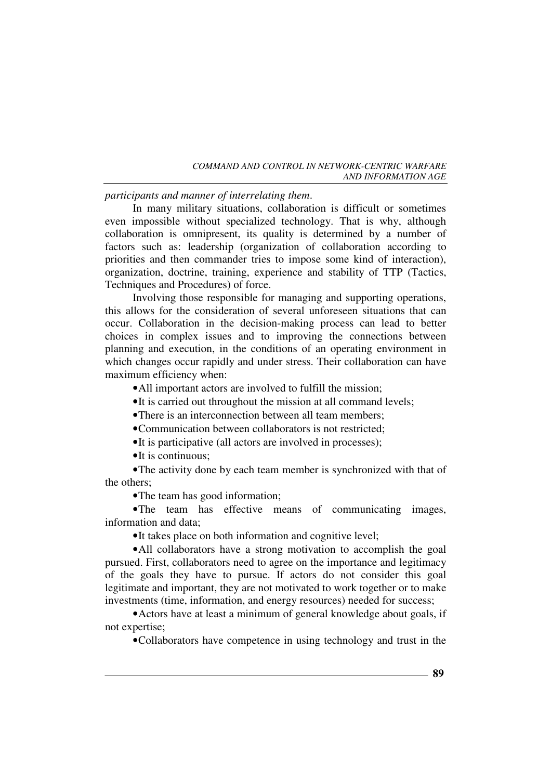*participants and manner of interrelating them*.

In many military situations, collaboration is difficult or sometimes even impossible without specialized technology. That is why, although collaboration is omnipresent, its quality is determined by a number of factors such as: leadership (organization of collaboration according to priorities and then commander tries to impose some kind of interaction), organization, doctrine, training, experience and stability of TTP (Tactics, Techniques and Procedures) of force.

Involving those responsible for managing and supporting operations, this allows for the consideration of several unforeseen situations that can occur. Collaboration in the decision-making process can lead to better choices in complex issues and to improving the connections between planning and execution, in the conditions of an operating environment in which changes occur rapidly and under stress. Their collaboration can have maximum efficiency when:

•All important actors are involved to fulfill the mission;

•It is carried out throughout the mission at all command levels;

•There is an interconnection between all team members:

•Communication between collaborators is not restricted;

•It is participative (all actors are involved in processes);

•It is continuous:

•The activity done by each team member is synchronized with that of the others;

•The team has good information:

•The team has effective means of communicating images, information and data;

•It takes place on both information and cognitive level;

•All collaborators have a strong motivation to accomplish the goal pursued. First, collaborators need to agree on the importance and legitimacy of the goals they have to pursue. If actors do not consider this goal legitimate and important, they are not motivated to work together or to make investments (time, information, and energy resources) needed for success;

•Actors have at least a minimum of general knowledge about goals, if not expertise;

•Collaborators have competence in using technology and trust in the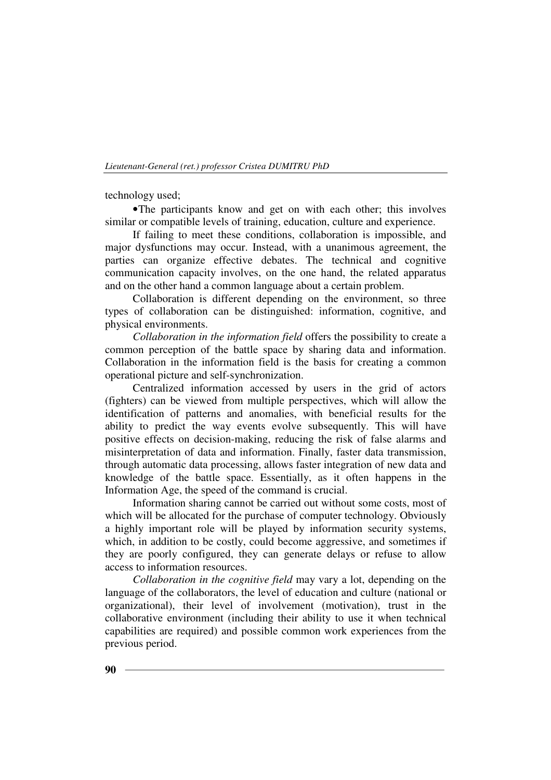technology used;

•The participants know and get on with each other; this involves similar or compatible levels of training, education, culture and experience.

If failing to meet these conditions, collaboration is impossible, and major dysfunctions may occur. Instead, with a unanimous agreement, the parties can organize effective debates. The technical and cognitive communication capacity involves, on the one hand, the related apparatus and on the other hand a common language about a certain problem.

Collaboration is different depending on the environment, so three types of collaboration can be distinguished: information, cognitive, and physical environments.

*Collaboration in the information field* offers the possibility to create a common perception of the battle space by sharing data and information. Collaboration in the information field is the basis for creating a common operational picture and self-synchronization.

Centralized information accessed by users in the grid of actors (fighters) can be viewed from multiple perspectives, which will allow the identification of patterns and anomalies, with beneficial results for the ability to predict the way events evolve subsequently. This will have positive effects on decision-making, reducing the risk of false alarms and misinterpretation of data and information. Finally, faster data transmission, through automatic data processing, allows faster integration of new data and knowledge of the battle space. Essentially, as it often happens in the Information Age, the speed of the command is crucial.

Information sharing cannot be carried out without some costs, most of which will be allocated for the purchase of computer technology. Obviously a highly important role will be played by information security systems, which, in addition to be costly, could become aggressive, and sometimes if they are poorly configured, they can generate delays or refuse to allow access to information resources.

*Collaboration in the cognitive field* may vary a lot, depending on the language of the collaborators, the level of education and culture (national or organizational), their level of involvement (motivation), trust in the collaborative environment (including their ability to use it when technical capabilities are required) and possible common work experiences from the previous period.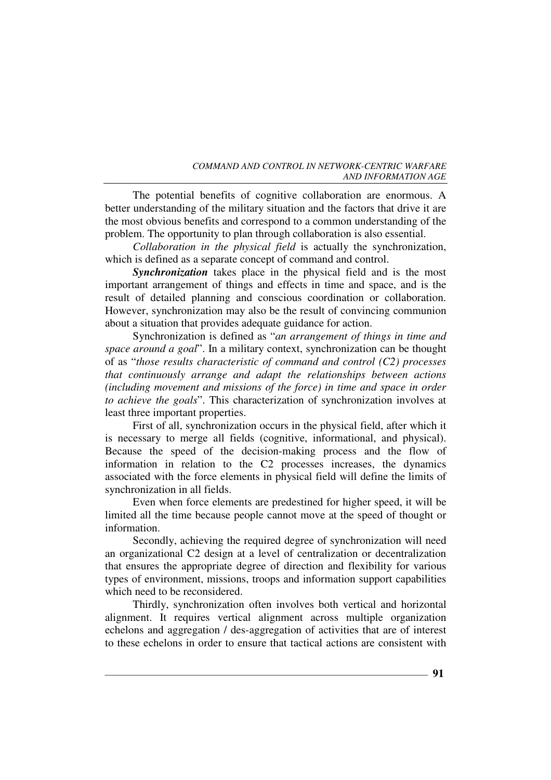The potential benefits of cognitive collaboration are enormous. A better understanding of the military situation and the factors that drive it are the most obvious benefits and correspond to a common understanding of the problem. The opportunity to plan through collaboration is also essential.

*Collaboration in the physical field* is actually the synchronization, which is defined as a separate concept of command and control.

*Synchronization* takes place in the physical field and is the most important arrangement of things and effects in time and space, and is the result of detailed planning and conscious coordination or collaboration. However, synchronization may also be the result of convincing communion about a situation that provides adequate guidance for action.

Synchronization is defined as "*an arrangement of things in time and space around a goal*". In a military context, synchronization can be thought of as "*those results characteristic of command and control (C2) processes that continuously arrange and adapt the relationships between actions (including movement and missions of the force) in time and space in order to achieve the goals*". This characterization of synchronization involves at least three important properties.

First of all, synchronization occurs in the physical field, after which it is necessary to merge all fields (cognitive, informational, and physical). Because the speed of the decision-making process and the flow of information in relation to the C2 processes increases, the dynamics associated with the force elements in physical field will define the limits of synchronization in all fields.

Even when force elements are predestined for higher speed, it will be limited all the time because people cannot move at the speed of thought or information.

Secondly, achieving the required degree of synchronization will need an organizational C2 design at a level of centralization or decentralization that ensures the appropriate degree of direction and flexibility for various types of environment, missions, troops and information support capabilities which need to be reconsidered.

Thirdly, synchronization often involves both vertical and horizontal alignment. It requires vertical alignment across multiple organization echelons and aggregation / des-aggregation of activities that are of interest to these echelons in order to ensure that tactical actions are consistent with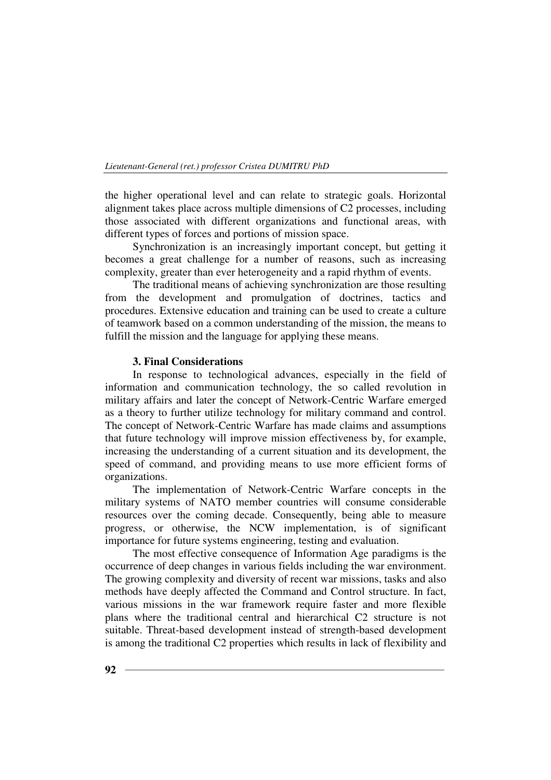the higher operational level and can relate to strategic goals. Horizontal alignment takes place across multiple dimensions of C2 processes, including those associated with different organizations and functional areas, with different types of forces and portions of mission space.

Synchronization is an increasingly important concept, but getting it becomes a great challenge for a number of reasons, such as increasing complexity, greater than ever heterogeneity and a rapid rhythm of events.

The traditional means of achieving synchronization are those resulting from the development and promulgation of doctrines, tactics and procedures. Extensive education and training can be used to create a culture of teamwork based on a common understanding of the mission, the means to fulfill the mission and the language for applying these means.

# **3. Final Considerations**

In response to technological advances, especially in the field of information and communication technology, the so called revolution in military affairs and later the concept of Network-Centric Warfare emerged as a theory to further utilize technology for military command and control. The concept of Network-Centric Warfare has made claims and assumptions that future technology will improve mission effectiveness by, for example, increasing the understanding of a current situation and its development, the speed of command, and providing means to use more efficient forms of organizations.

The implementation of Network-Centric Warfare concepts in the military systems of NATO member countries will consume considerable resources over the coming decade. Consequently, being able to measure progress, or otherwise, the NCW implementation, is of significant importance for future systems engineering, testing and evaluation.

The most effective consequence of Information Age paradigms is the occurrence of deep changes in various fields including the war environment. The growing complexity and diversity of recent war missions, tasks and also methods have deeply affected the Command and Control structure. In fact, various missions in the war framework require faster and more flexible plans where the traditional central and hierarchical C2 structure is not suitable. Threat-based development instead of strength-based development is among the traditional C2 properties which results in lack of flexibility and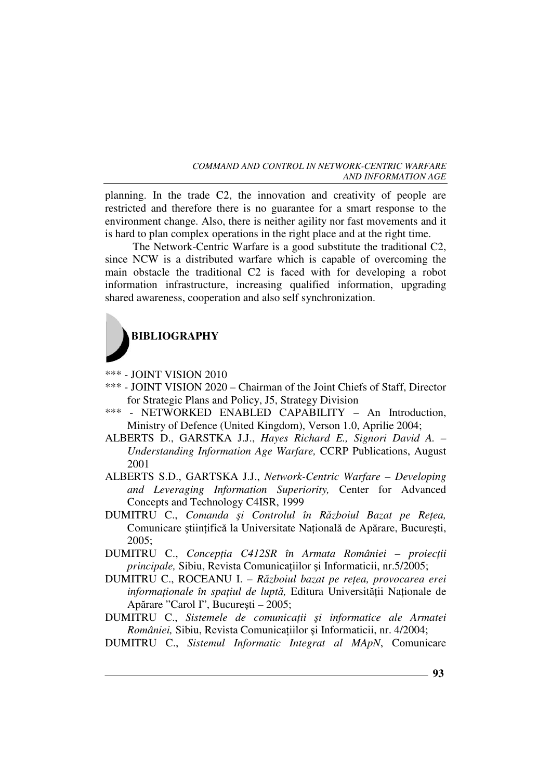planning. In the trade C2, the innovation and creativity of people are restricted and therefore there is no guarantee for a smart response to the environment change. Also, there is neither agility nor fast movements and it is hard to plan complex operations in the right place and at the right time.

The Network-Centric Warfare is a good substitute the traditional C2, since NCW is a distributed warfare which is capable of overcoming the main obstacle the traditional C2 is faced with for developing a robot information infrastructure, increasing qualified information, upgrading shared awareness, cooperation and also self synchronization.



\*\*\* - JOINT VISION 2010

- \*\*\* JOINT VISION 2020 Chairman of the Joint Chiefs of Staff, Director for Strategic Plans and Policy, J5, Strategy Division
- \*\*\* NETWORKED ENABLED CAPABILITY An Introduction, Ministry of Defence (United Kingdom), Verson 1.0, Aprilie 2004;
- ALBERTS D., GARSTKA J.J., *Hayes Richard E., Signori David A. Understanding Information Age Warfare,* CCRP Publications, August 2001
- ALBERTS S.D., GARTSKA J.J., *Network-Centric Warfare Developing and Leveraging Information Superiority,* Center for Advanced Concepts and Technology C4ISR, 1999
- DUMITRU C., *Comanda și Controlul în Războiul Bazat pe Rețea,* Comunicare științifică la Universitate Națională de Apărare, București, 2005;
- DUMITRU C., *ConcepŃia C412SR în Armata României proiecŃii principale,* Sibiu, Revista Comunicațiilor și Informaticii, nr.5/2005;
- DUMITRU C., ROCEANU I. *Războiul bazat pe reŃea, provocarea erei informaționale în spațiul de luptă*, Editura Universității Naționale de Apărare "Carol I", Bucureşti – 2005;
- DUMITRU C., Sistemele de comunicații și informatice ale Armatei *României*, Sibiu, Revista Comunicațiilor și Informaticii, nr. 4/2004;
- DUMITRU C., *Sistemul Informatic Integrat al MApN*, Comunicare